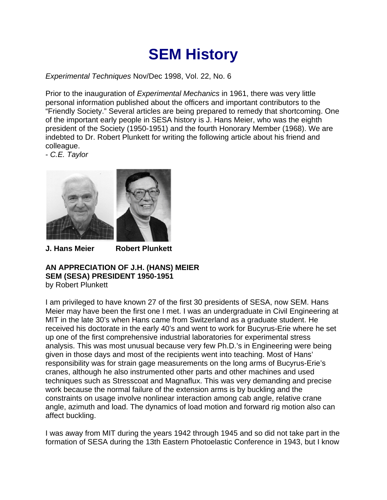## **SEM History**

*Experimental Techniques* Nov/Dec 1998, Vol. 22, No. 6

Prior to the inauguration of *Experimental Mechanics* in 1961, there was very little personal information published about the officers and important contributors to the "Friendly Society." Several articles are being prepared to remedy that shortcoming. One of the important early people in SESA history is J. Hans Meier, who was the eighth president of the Society (1950-1951) and the fourth Honorary Member (1968). We are indebted to Dr. Robert Plunkett for writing the following article about his friend and colleague.

- *C.E. Taylor*



**J. Hans Meier Robert Plunkett**

## **AN APPRECIATION OF J.H. (HANS) MEIER SEM (SESA) PRESIDENT 1950-1951**

by Robert Plunkett

I am privileged to have known 27 of the first 30 presidents of SESA, now SEM. Hans Meier may have been the first one I met. I was an undergraduate in Civil Engineering at MIT in the late 30's when Hans came from Switzerland as a graduate student. He received his doctorate in the early 40's and went to work for Bucyrus-Erie where he set up one of the first comprehensive industrial laboratories for experimental stress analysis. This was most unusual because very few Ph.D.'s in Engineering were being given in those days and most of the recipients went into teaching. Most of Hans' responsibility was for strain gage measurements on the long arms of Bucyrus-Erie's cranes, although he also instrumented other parts and other machines and used techniques such as Stresscoat and Magnaflux. This was very demanding and precise work because the normal failure of the extension arms is by buckling and the constraints on usage involve nonlinear interaction among cab angle, relative crane angle, azimuth and load. The dynamics of load motion and forward rig motion also can affect buckling.

I was away from MIT during the years 1942 through 1945 and so did not take part in the formation of SESA during the 13th Eastern Photoelastic Conference in 1943, but I know